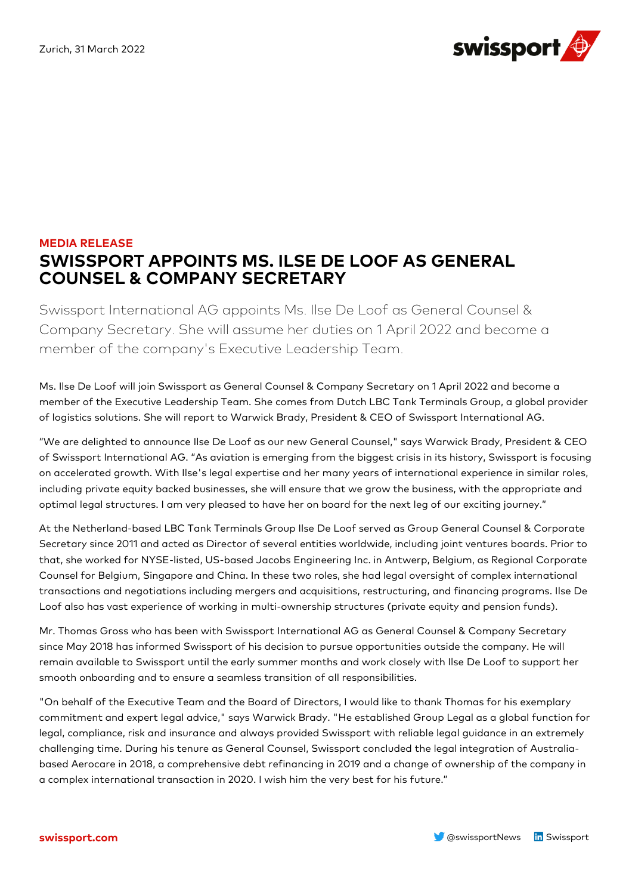

## **MEDIA RELEASE SWISSPORT APPOINTS MS. ILSE DE LOOF AS GENERAL COUNSEL & COMPANY SECRETARY**

Swissport International AG appoints Ms. Ilse De Loof as General Counsel & Company Secretary. She will assume her duties on 1 April 2022 and become a member of the company's Executive Leadership Team.

Ms. Ilse De Loof will join Swissport as General Counsel & Company Secretary on 1 April 2022 and become a member of the Executive Leadership Team. She comes from Dutch LBC Tank Terminals Group, a global provider of logistics solutions. She will report to Warwick Brady, President & CEO of Swissport International AG.

"We are delighted to announce Ilse De Loof as our new General Counsel," says Warwick Brady, President & CEO of Swissport International AG. "As aviation is emerging from the biggest crisis in its history, Swissport is focusing on accelerated growth. With Ilse's legal expertise and her many years of international experience in similar roles, including private equity backed businesses, she will ensure that we grow the business, with the appropriate and optimal legal structures. I am very pleased to have her on board for the next leg of our exciting journey."

At the Netherland-based LBC Tank Terminals Group Ilse De Loof served as Group General Counsel & Corporate Secretary since 2011 and acted as Director of several entities worldwide, including joint ventures boards. Prior to that, she worked for NYSE-listed, US-based Jacobs Engineering Inc. in Antwerp, Belgium, as Regional Corporate Counsel for Belgium, Singapore and China. In these two roles, she had legal oversight of complex international transactions and negotiations including mergers and acquisitions, restructuring, and financing programs. Ilse De Loof also has vast experience of working in multi-ownership structures (private equity and pension funds).

Mr. Thomas Gross who has been with Swissport International AG as General Counsel & Company Secretary since May 2018 has informed Swissport of his decision to pursue opportunities outside the company. He will remain available to Swissport until the early summer months and work closely with Ilse De Loof to support her smooth onboarding and to ensure a seamless transition of all responsibilities.

"On behalf of the Executive Team and the Board of Directors, I would like to thank Thomas for his exemplary commitment and expert legal advice," says Warwick Brady. "He established Group Legal as a global function for legal, compliance, risk and insurance and always provided Swissport with reliable legal guidance in an extremely challenging time. During his tenure as General Counsel, Swissport concluded the legal integration of Australiabased Aerocare in 2018, a comprehensive debt refinancing in 2019 and a change of ownership of the company in a complex international transaction in 2020. I wish him the very best for his future."